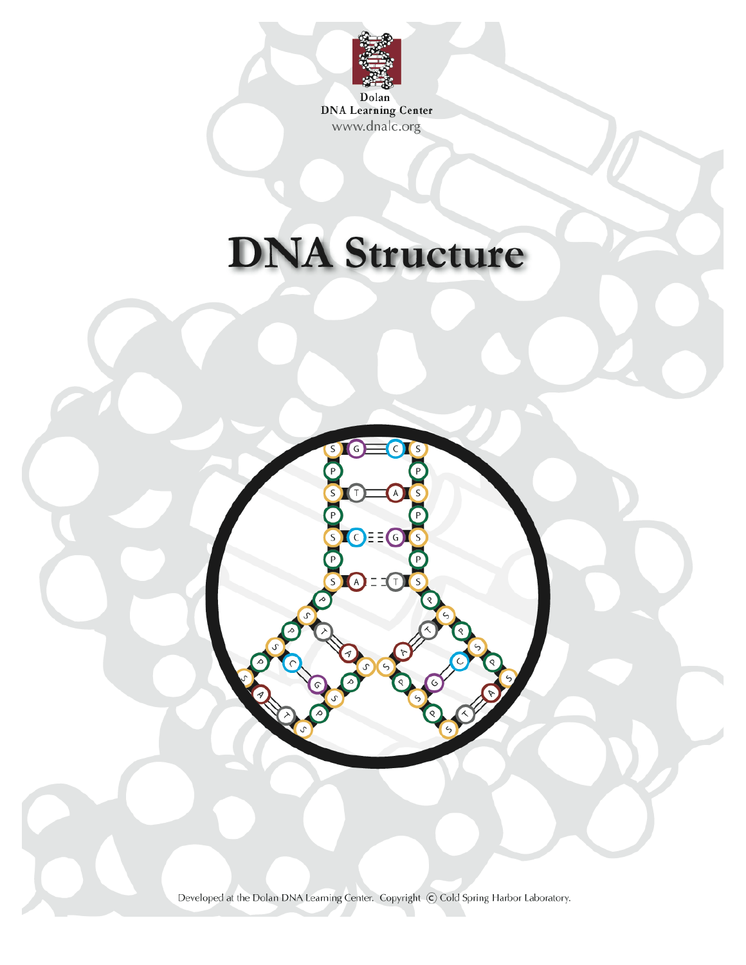

**DNA Learning Center** www.dnalc.org

# **DNA Structure**



Developed at the Dolan DNA Learning Center. Copyright C Cold Spring Harbor Laboratory.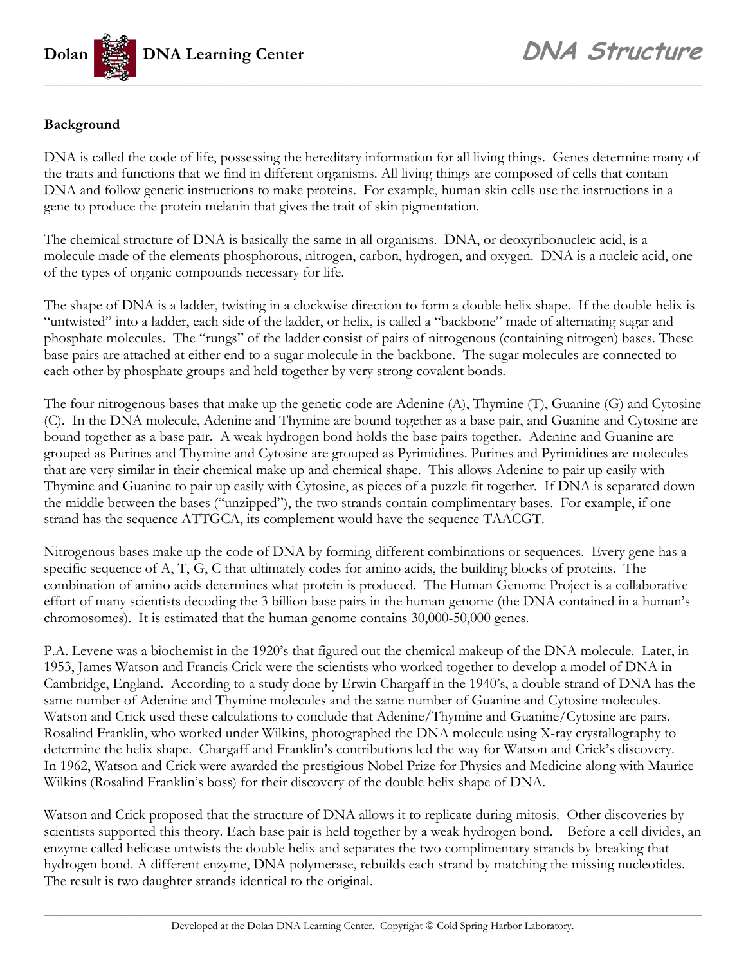

#### **Background**

DNA is called the code of life, possessing the hereditary information for all living things. Genes determine many of the traits and functions that we find in different organisms. All living things are composed of cells that contain DNA and follow genetic instructions to make proteins. For example, human skin cells use the instructions in a gene to produce the protein melanin that gives the trait of skin pigmentation.

The chemical structure of DNA is basically the same in all organisms. DNA, or deoxyribonucleic acid, is a molecule made of the elements phosphorous, nitrogen, carbon, hydrogen, and oxygen. DNA is a nucleic acid, one of the types of organic compounds necessary for life.

The shape of DNA is a ladder, twisting in a clockwise direction to form a double helix shape. If the double helix is "untwisted" into a ladder, each side of the ladder, or helix, is called a "backbone" made of alternating sugar and phosphate molecules. The "rungs" of the ladder consist of pairs of nitrogenous (containing nitrogen) bases. These base pairs are attached at either end to a sugar molecule in the backbone. The sugar molecules are connected to each other by phosphate groups and held together by very strong covalent bonds.

The four nitrogenous bases that make up the genetic code are Adenine (A), Thymine (T), Guanine (G) and Cytosine (C). In the DNA molecule, Adenine and Thymine are bound together as a base pair, and Guanine and Cytosine are bound together as a base pair. A weak hydrogen bond holds the base pairs together. Adenine and Guanine are grouped as Purines and Thymine and Cytosine are grouped as Pyrimidines. Purines and Pyrimidines are molecules that are very similar in their chemical make up and chemical shape. This allows Adenine to pair up easily with Thymine and Guanine to pair up easily with Cytosine, as pieces of a puzzle fit together. If DNA is separated down the middle between the bases ("unzipped"), the two strands contain complimentary bases. For example, if one strand has the sequence ATTGCA, its complement would have the sequence TAACGT.

Nitrogenous bases make up the code of DNA by forming different combinations or sequences. Every gene has a specific sequence of A, T, G, C that ultimately codes for amino acids, the building blocks of proteins. The combination of amino acids determines what protein is produced. The Human Genome Project is a collaborative effort of many scientists decoding the 3 billion base pairs in the human genome (the DNA contained in a human's chromosomes). It is estimated that the human genome contains 30,000-50,000 genes.

P.A. Levene was a biochemist in the 1920's that figured out the chemical makeup of the DNA molecule. Later, in 1953, James Watson and Francis Crick were the scientists who worked together to develop a model of DNA in Cambridge, England. According to a study done by Erwin Chargaff in the 1940's, a double strand of DNA has the same number of Adenine and Thymine molecules and the same number of Guanine and Cytosine molecules. Watson and Crick used these calculations to conclude that Adenine/Thymine and Guanine/Cytosine are pairs. Rosalind Franklin, who worked under Wilkins, photographed the DNA molecule using X-ray crystallography to determine the helix shape. Chargaff and Franklin's contributions led the way for Watson and Crick's discovery. In 1962, Watson and Crick were awarded the prestigious Nobel Prize for Physics and Medicine along with Maurice Wilkins (Rosalind Franklin's boss) for their discovery of the double helix shape of DNA.

Watson and Crick proposed that the structure of DNA allows it to replicate during mitosis. Other discoveries by scientists supported this theory. Each base pair is held together by a weak hydrogen bond. Before a cell divides, an enzyme called helicase untwists the double helix and separates the two complimentary strands by breaking that hydrogen bond. A different enzyme, DNA polymerase, rebuilds each strand by matching the missing nucleotides. The result is two daughter strands identical to the original.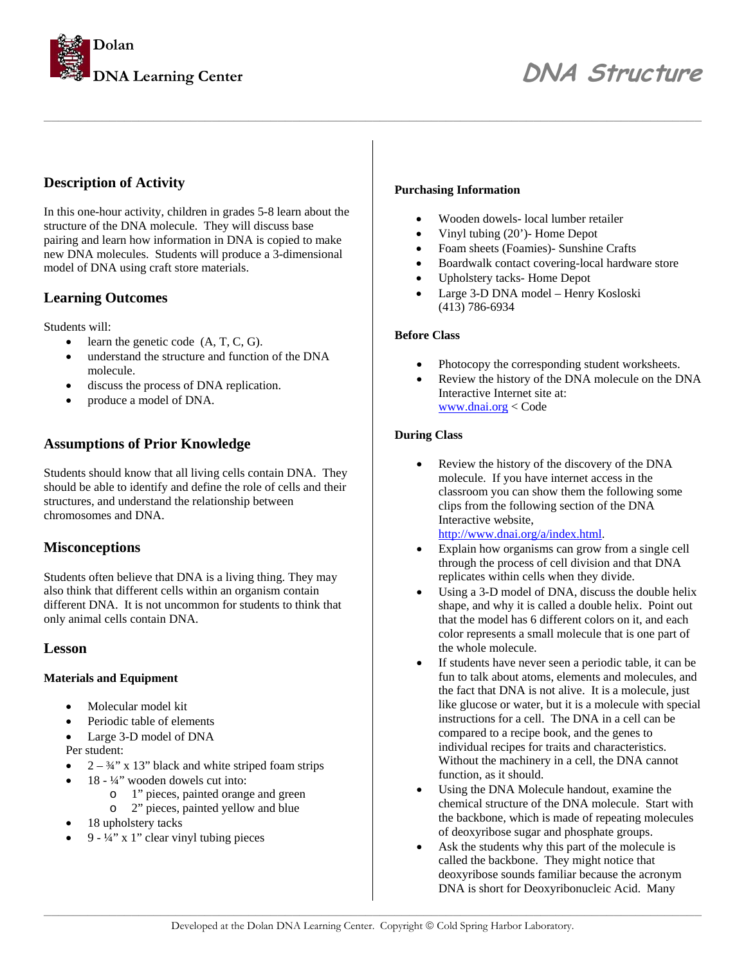

#### **Description of Activity**

In this one-hour activity, children in grades 5-8 learn about the structure of the DNA molecule. They will discuss base pairing and learn how information in DNA is copied to make new DNA molecules. Students will produce a 3-dimensional model of DNA using craft store materials.

#### **Learning Outcomes**

Students will:

- learn the genetic code  $(A, T, C, G)$ .
- understand the structure and function of the DNA molecule.
- discuss the process of DNA replication.
- produce a model of DNA.

#### **Assumptions of Prior Knowledge**

Students should know that all living cells contain DNA. They should be able to identify and define the role of cells and their structures, and understand the relationship between chromosomes and DNA.

#### **Misconceptions**

Students often believe that DNA is a living thing. They may also think that different cells within an organism contain different DNA. It is not uncommon for students to think that only animal cells contain DNA.

#### **Lesson**

#### **Materials and Equipment**

- Molecular model kit
- Periodic table of elements
- Large 3-D model of DNA

Per student:

- $2 \frac{3}{4}$ " x 13" black and white striped foam strips
	- 18 ¼" wooden dowels cut into:
		- o 1" pieces, painted orange and green
		- o 2" pieces, painted yellow and blue
- 18 upholstery tacks
- 9  $\frac{1}{4}$ " x 1" clear vinyl tubing pieces

#### **Purchasing Information**

- Wooden dowels- local lumber retailer
- Vinyl tubing (20')- Home Depot
- Foam sheets (Foamies)- Sunshine Crafts
- Boardwalk contact covering-local hardware store
- Upholstery tacks- Home Depot
- Large 3-D DNA model Henry Kosloski (413) 786-6934

#### **Before Class**

*\_\_\_\_\_\_\_\_\_\_\_\_\_\_\_\_\_\_\_\_\_\_\_\_\_\_\_\_\_\_\_\_\_\_\_\_\_\_\_\_\_\_\_\_\_\_\_\_\_\_\_\_\_\_\_\_\_\_\_\_\_\_\_\_\_\_\_\_\_\_\_\_\_\_\_\_\_\_\_\_\_\_\_\_\_\_\_\_\_\_* 

- Photocopy the corresponding student worksheets.
- Review the history of the DNA molecule on the DNA Interactive Internet site at: [www.dnai.org](http://www.dnai.org/) < Code

#### **During Class**

- Review the history of the discovery of the DNA molecule. If you have internet access in the classroom you can show them the following some clips from the following section of the DNA Interactive website, <http://www.dnai.org/a/index.html>.
- Explain how organisms can grow from a single cell through the process of cell division and that DNA replicates within cells when they divide.
- Using a 3-D model of DNA, discuss the double helix shape, and why it is called a double helix. Point out that the model has 6 different colors on it, and each color represents a small molecule that is one part of the whole molecule.
- If students have never seen a periodic table, it can be fun to talk about atoms, elements and molecules, and the fact that DNA is not alive. It is a molecule, just like glucose or water, but it is a molecule with special instructions for a cell. The DNA in a cell can be compared to a recipe book, and the genes to individual recipes for traits and characteristics. Without the machinery in a cell, the DNA cannot function, as it should.
- Using the DNA Molecule handout, examine the chemical structure of the DNA molecule. Start with the backbone, which is made of repeating molecules of deoxyribose sugar and phosphate groups.
- Ask the students why this part of the molecule is called the backbone. They might notice that deoxyribose sounds familiar because the acronym DNA is short for Deoxyribonucleic Acid. Many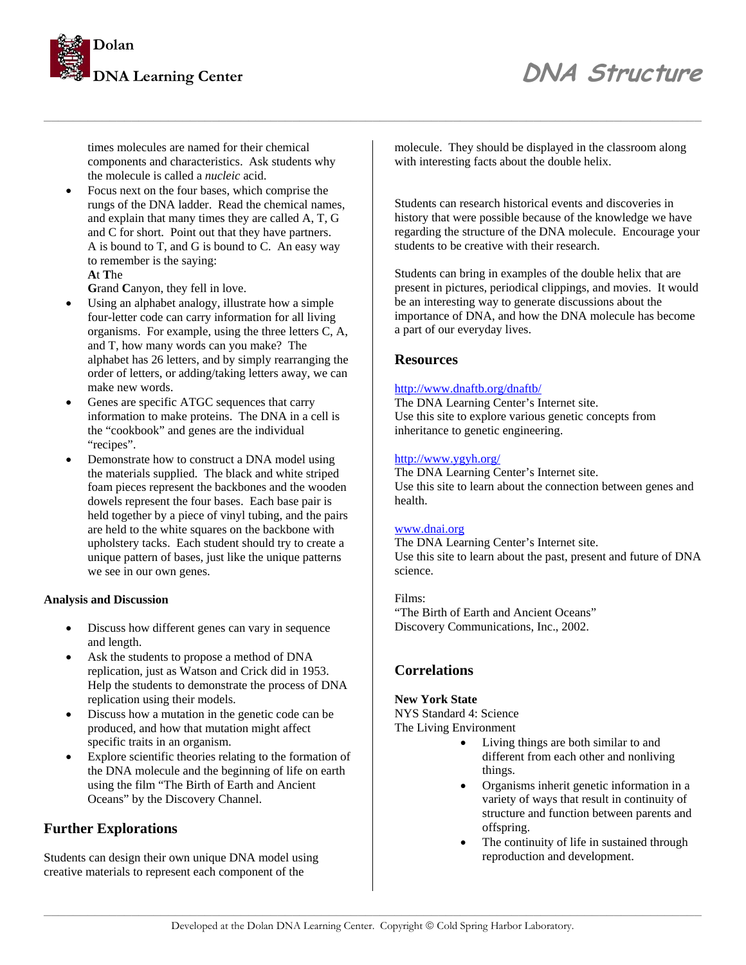

### **DNA Structure** *DNA Structure*

times molecules are named for their chemical components and characteristics. Ask students why the molecule is called a *nucleic* acid.

• Focus next on the four bases, which comprise the rungs of the DNA ladder. Read the chemical names, and explain that many times they are called A, T, G and C for short. Point out that they have partners. A is bound to T, and G is bound to C. An easy way to remember is the saying: **A**t **T**he

**G**rand **C**anyon, they fell in love.

- Using an alphabet analogy, illustrate how a simple four-letter code can carry information for all living organisms. For example, using the three letters C, A, and T, how many words can you make? The alphabet has 26 letters, and by simply rearranging the order of letters, or adding/taking letters away, we can make new words.
- Genes are specific ATGC sequences that carry information to make proteins. The DNA in a cell is the "cookbook" and genes are the individual "recipes".
- Demonstrate how to construct a DNA model using the materials supplied. The black and white striped foam pieces represent the backbones and the wooden dowels represent the four bases. Each base pair is held together by a piece of vinyl tubing, and the pairs are held to the white squares on the backbone with upholstery tacks. Each student should try to create a unique pattern of bases, just like the unique patterns we see in our own genes.

#### **Analysis and Discussion**

- Discuss how different genes can vary in sequence and length.
- Ask the students to propose a method of DNA replication, just as Watson and Crick did in 1953. Help the students to demonstrate the process of DNA replication using their models.
- Discuss how a mutation in the genetic code can be produced, and how that mutation might affect specific traits in an organism.
- Explore scientific theories relating to the formation of the DNA molecule and the beginning of life on earth using the film "The Birth of Earth and Ancient Oceans" by the Discovery Channel.

#### **Further Explorations**

Students can design their own unique DNA model using creative materials to represent each component of the

molecule. They should be displayed in the classroom along with interesting facts about the double helix.

Students can research historical events and discoveries in history that were possible because of the knowledge we have regarding the structure of the DNA molecule. Encourage your students to be creative with their research.

Students can bring in examples of the double helix that are present in pictures, periodical clippings, and movies. It would be an interesting way to generate discussions about the importance of DNA, and how the DNA molecule has become a part of our everyday lives.

#### **Resources**

*\_\_\_\_\_\_\_\_\_\_\_\_\_\_\_\_\_\_\_\_\_\_\_\_\_\_\_\_\_\_\_\_\_\_\_\_\_\_\_\_\_\_\_\_\_\_\_\_\_\_\_\_\_\_\_\_\_\_\_\_\_\_\_\_\_\_\_\_\_\_\_\_\_\_\_\_\_\_\_\_\_\_\_\_\_\_\_\_\_\_* 

#### <http://www.dnaftb.org/dnaftb/>

The DNA Learning Center's Internet site. Use this site to explore various genetic concepts from inheritance to genetic engineering.

#### <http://www.ygyh.org/>

The DNA Learning Center's Internet site. Use this site to learn about the connection between genes and health.

#### [www.dnai.org](http://www.dnai.org/)

The DNA Learning Center's Internet site. Use this site to learn about the past, present and future of DNA science.

#### Films: "The Birth of Earth and Ancient Oceans" Discovery Communications, Inc., 2002.

#### **Correlations**

#### **New York State**

NYS Standard 4: Science The Living Environment

- Living things are both similar to and different from each other and nonliving things.
- Organisms inherit genetic information in a variety of ways that result in continuity of structure and function between parents and offspring.
- The continuity of life in sustained through reproduction and development.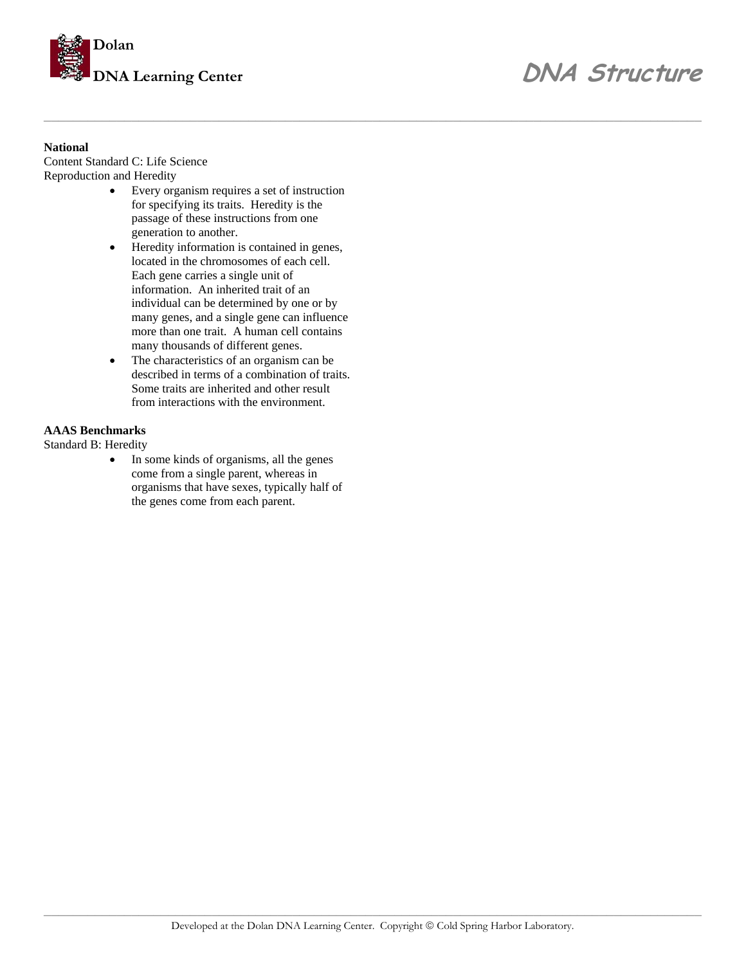

## **DNA Learning Center** *DNA Structure*

#### **National**

Content Standard C: Life Science Reproduction and Heredity

- Every organism requires a set of instruction for specifying its traits. Heredity is the passage of these instructions from one generation to another.
- Heredity information is contained in genes, located in the chromosomes of each cell. Each gene carries a single unit of information. An inherited trait of an individual can be determined by one or by many genes, and a single gene can influence more than one trait. A human cell contains many thousands of different genes.
- The characteristics of an organism can be described in terms of a combination of traits. Some traits are inherited and other result from interactions with the environment.

#### **AAAS Benchmarks**

Standard B: Heredity

In some kinds of organisms, all the genes come from a single parent, whereas in organisms that have sexes, typically half of the genes come from each parent.

*\_\_\_\_\_\_\_\_\_\_\_\_\_\_\_\_\_\_\_\_\_\_\_\_\_\_\_\_\_\_\_\_\_\_\_\_\_\_\_\_\_\_\_\_\_\_\_\_\_\_\_\_\_\_\_\_\_\_\_\_\_\_\_\_\_\_\_\_\_\_\_\_\_\_\_\_\_\_\_\_\_\_\_\_\_\_\_\_\_\_*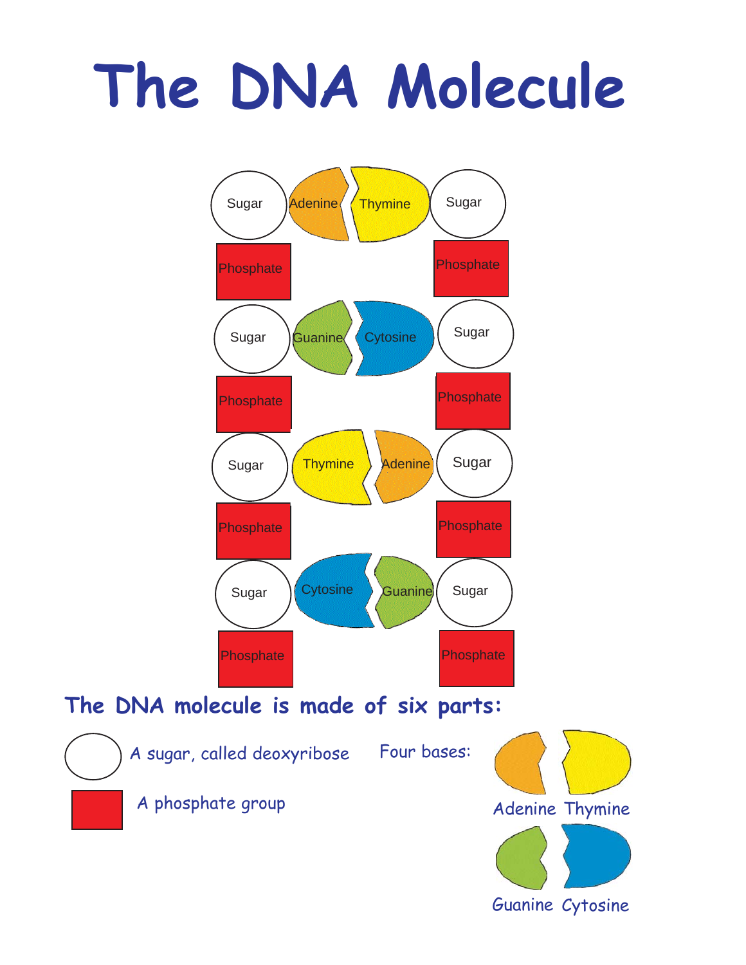# **The DNA Molecule**



A phosphate group

Adenine Thymine